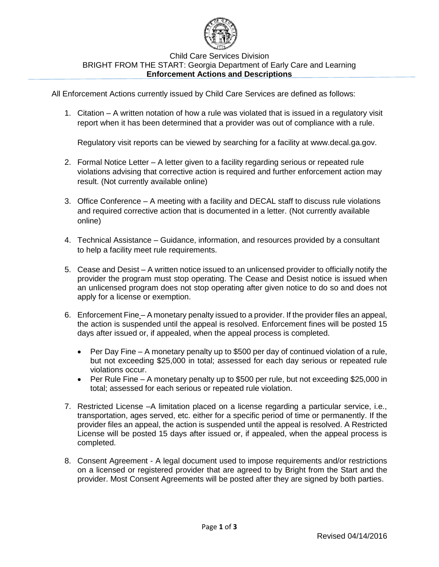

## Child Care Services Division BRIGHT FROM THE START: Georgia Department of Early Care and Learning **Enforcement Actions and Descriptions**

All Enforcement Actions currently issued by Child Care Services are defined as follows:

1. Citation – A written notation of how a rule was violated that is issued in a regulatory visit report when it has been determined that a provider was out of compliance with a rule.

Regulatory visit reports can be viewed by searching for a facility at [www.decal.ga.gov.](http://www.decal.ga.gov/)

- 2. Formal Notice Letter A letter given to a facility regarding serious or repeated rule violations advising that corrective action is required and further enforcement action may result. (Not currently available online)
- 3. Office Conference A meeting with a facility and DECAL staff to discuss rule violations and required corrective action that is documented in a letter. (Not currently available online)
- 4. Technical Assistance Guidance, information, and resources provided by a consultant to help a facility meet rule requirements.
- 5. Cease and Desist A written notice issued to an unlicensed provider to officially notify the provider the program must stop operating. The Cease and Desist notice is issued when an unlicensed program does not stop operating after given notice to do so and does not apply for a license or exemption.
- 6. Enforcement Fine A monetary penalty issued to a provider. If the provider files an appeal, the action is suspended until the appeal is resolved. Enforcement fines will be posted 15 days after issued or, if appealed, when the appeal process is completed.
	- Per Day Fine A monetary penalty up to \$500 per day of continued violation of a rule, but not exceeding \$25,000 in total; assessed for each day serious or repeated rule violations occur.
	- Per Rule Fine A monetary penalty up to \$500 per rule, but not exceeding \$25,000 in total; assessed for each serious or repeated rule violation.
- 7. Restricted License –A limitation placed on a license regarding a particular service, i.e., transportation, ages served, etc. either for a specific period of time or permanently. If the provider files an appeal, the action is suspended until the appeal is resolved. A Restricted License will be posted 15 days after issued or, if appealed, when the appeal process is completed.
- 8. Consent Agreement A legal document used to impose requirements and/or restrictions on a licensed or registered provider that are agreed to by Bright from the Start and the provider. Most Consent Agreements will be posted after they are signed by both parties.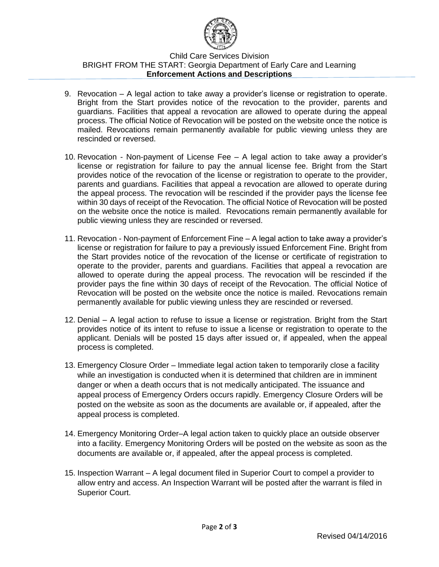

## Child Care Services Division BRIGHT FROM THE START: Georgia Department of Early Care and Learning **Enforcement Actions and Descriptions**

- 9. Revocation A legal action to take away a provider's license or registration to operate. Bright from the Start provides notice of the revocation to the provider, parents and guardians. Facilities that appeal a revocation are allowed to operate during the appeal process. The official Notice of Revocation will be posted on the website once the notice is mailed. Revocations remain permanently available for public viewing unless they are rescinded or reversed.
- 10. Revocation Non-payment of License Fee A legal action to take away a provider's license or registration for failure to pay the annual license fee. Bright from the Start provides notice of the revocation of the license or registration to operate to the provider, parents and guardians. Facilities that appeal a revocation are allowed to operate during the appeal process. The revocation will be rescinded if the provider pays the license fee within 30 days of receipt of the Revocation. The official Notice of Revocation will be posted on the website once the notice is mailed. Revocations remain permanently available for public viewing unless they are rescinded or reversed.
- 11. Revocation Non-payment of Enforcement Fine A legal action to take away a provider's license or registration for failure to pay a previously issued Enforcement Fine. Bright from the Start provides notice of the revocation of the license or certificate of registration to operate to the provider, parents and guardians. Facilities that appeal a revocation are allowed to operate during the appeal process. The revocation will be rescinded if the provider pays the fine within 30 days of receipt of the Revocation. The official Notice of Revocation will be posted on the website once the notice is mailed. Revocations remain permanently available for public viewing unless they are rescinded or reversed.
- 12. Denial A legal action to refuse to issue a license or registration. Bright from the Start provides notice of its intent to refuse to issue a license or registration to operate to the applicant. Denials will be posted 15 days after issued or, if appealed, when the appeal process is completed.
- 13. Emergency Closure Order Immediate legal action taken to temporarily close a facility while an investigation is conducted when it is determined that children are in imminent danger or when a death occurs that is not medically anticipated. The issuance and appeal process of Emergency Orders occurs rapidly. Emergency Closure Orders will be posted on the website as soon as the documents are available or, if appealed, after the appeal process is completed.
- 14. Emergency Monitoring Order–A legal action taken to quickly place an outside observer into a facility. Emergency Monitoring Orders will be posted on the website as soon as the documents are available or, if appealed, after the appeal process is completed.
- 15. Inspection Warrant A legal document filed in Superior Court to compel a provider to allow entry and access. An Inspection Warrant will be posted after the warrant is filed in Superior Court.